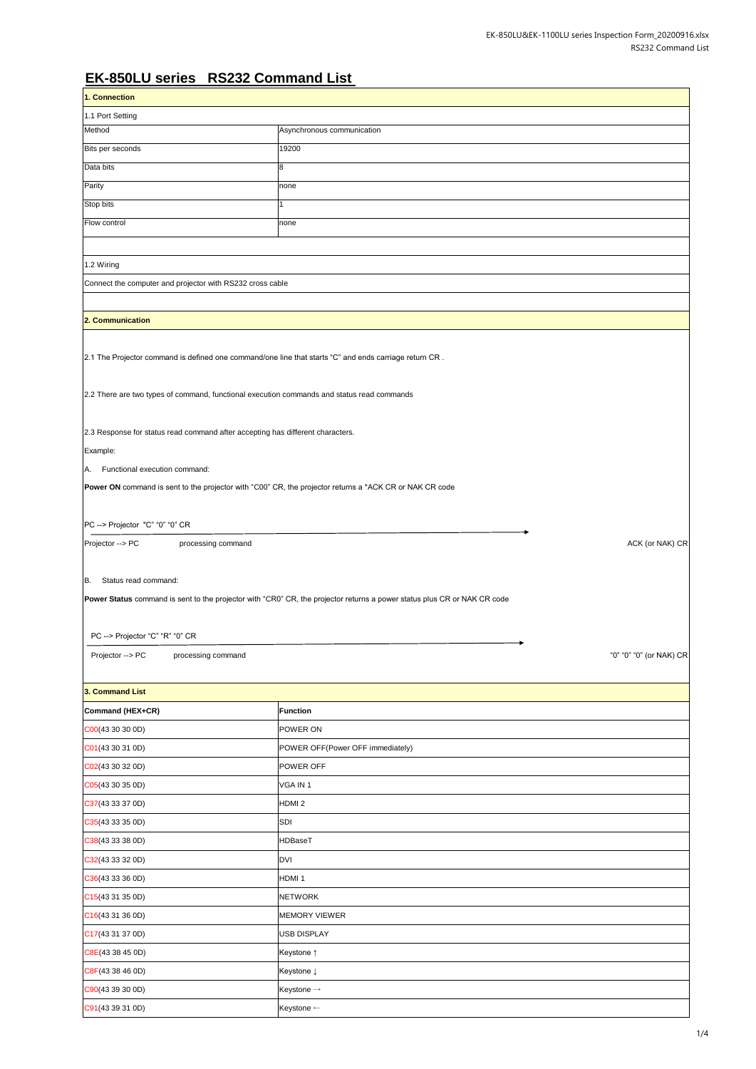## **EK-850LU series RS232 Command List**

PC --> Projector "C" "R" "0" CR

Projector --> PC processing command  $^{\circ}$  "0" (or NAK) CR

| 1. Connection                                                                                                                                                                                         |                            |  |  |  |
|-------------------------------------------------------------------------------------------------------------------------------------------------------------------------------------------------------|----------------------------|--|--|--|
| 1.1 Port Setting                                                                                                                                                                                      |                            |  |  |  |
| Method                                                                                                                                                                                                | Asynchronous communication |  |  |  |
| Bits per seconds                                                                                                                                                                                      | 19200                      |  |  |  |
| Data bits                                                                                                                                                                                             | 8                          |  |  |  |
| Parity                                                                                                                                                                                                | none                       |  |  |  |
| Stop bits                                                                                                                                                                                             |                            |  |  |  |
| Flow control                                                                                                                                                                                          | none                       |  |  |  |
|                                                                                                                                                                                                       |                            |  |  |  |
| 1.2 Wiring                                                                                                                                                                                            |                            |  |  |  |
| Connect the computer and projector with RS232 cross cable                                                                                                                                             |                            |  |  |  |
|                                                                                                                                                                                                       |                            |  |  |  |
| 2. Communication                                                                                                                                                                                      |                            |  |  |  |
| [2.1 The Projector command is defined one command/one line that starts "C" and ends carriage return CR.<br>2.2 There are two types of command, functional execution commands and status read commands |                            |  |  |  |
| 2.3 Response for status read command after accepting has different characters.                                                                                                                        |                            |  |  |  |
| Example:                                                                                                                                                                                              |                            |  |  |  |
| Functional execution command:<br>A.                                                                                                                                                                   |                            |  |  |  |
| <b>Power ON</b> command is sent to the projector with "C00" CR, the projector returns a *ACK CR or NAK CR code                                                                                        |                            |  |  |  |
| PC --> Projector "C" "0" "0" CR                                                                                                                                                                       |                            |  |  |  |
| Projector --> PC<br>processing command<br>ACK (or NAK) CR                                                                                                                                             |                            |  |  |  |
| Status read command:<br>IB.                                                                                                                                                                           |                            |  |  |  |
| Power Status command is sent to the projector with "CR0" CR, the projector returns a power status plus CR or NAK CR code                                                                              |                            |  |  |  |

| 3. Command List  |                                  |  |  |
|------------------|----------------------------------|--|--|
| Command (HEX+CR) | Function                         |  |  |
| C00(43 30 30 0D) | <b>POWER ON</b>                  |  |  |
| C01(43 30 31 0D) | POWER OFF(Power OFF immediately) |  |  |
| C02(43 30 32 0D) | <b>POWER OFF</b>                 |  |  |
| C05(43 30 35 0D) | VGA IN 1                         |  |  |
| C37(43 33 37 0D) | HDMI <sub>2</sub>                |  |  |
| C35(43 33 35 0D) | <b>SDI</b>                       |  |  |
| C38(43 33 38 0D) | HDBaseT                          |  |  |
| C32(43 33 32 0D) | <b>DVI</b>                       |  |  |
| C36(43 33 36 0D) | <b>HDMI1</b>                     |  |  |
| C15(4331350D)    | <b>NETWORK</b>                   |  |  |
| C16(4331360D)    | MEMORY VIEWER                    |  |  |
| C17(43 31 37 0D) | <b>USB DISPLAY</b>               |  |  |
| C8E(43 38 45 0D) | Keystone 1                       |  |  |
| C8F(43 38 46 0D) | Keystone ↓                       |  |  |
| C90(43 39 30 0D) | Keystone $\rightarrow$           |  |  |
| C91(43 39 31 0D) | Keystone $\leftarrow$            |  |  |
|                  |                                  |  |  |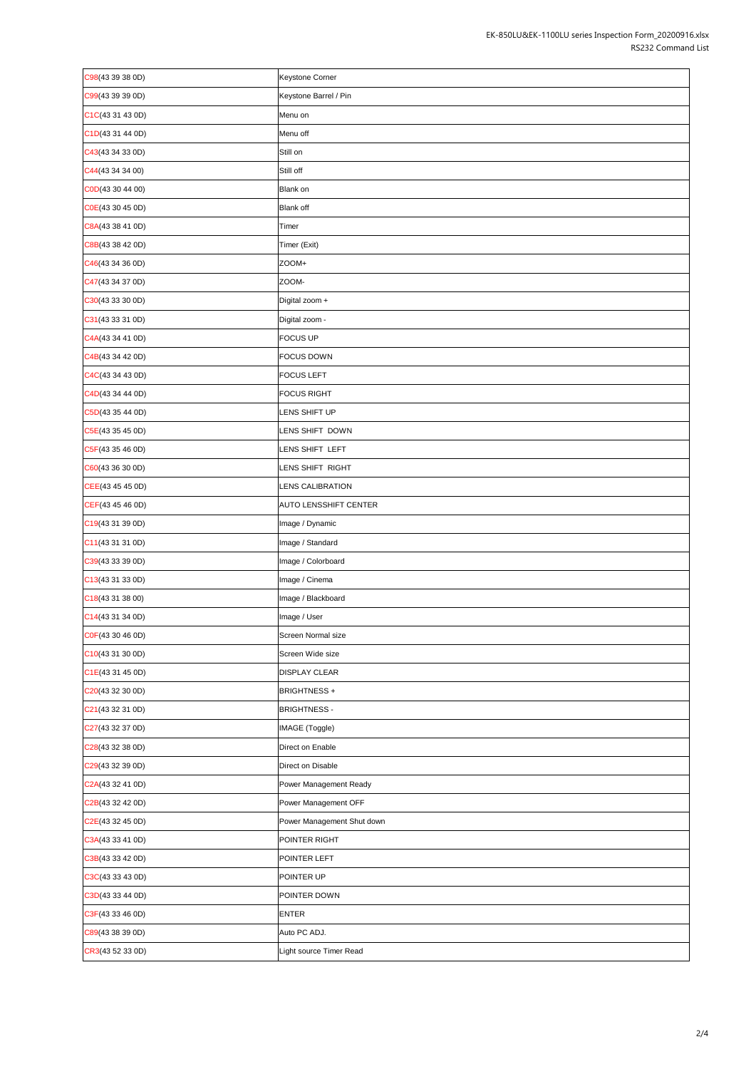| C98(43 39 38 0D)             | <b>Keystone Corner</b>       |  |  |
|------------------------------|------------------------------|--|--|
| C99(43 39 39 0D)             | Keystone Barrel / Pin        |  |  |
| C1C(4331430D)                | Menu on                      |  |  |
| CD(4331440D)                 | Menu off                     |  |  |
| C43(43 34 33 0D)             | Still on                     |  |  |
| C44(43 34 34 00)             | Still off                    |  |  |
| $\text{COD}(43\,30\,44\,00)$ | <b>Blank on</b>              |  |  |
| C0E(43 30 45 0D)             | <b>Blank off</b>             |  |  |
| C8A(43 38 41 0D)             | Timer                        |  |  |
| C8B(43 38 42 0D)             | Timer (Exit)                 |  |  |
| C46(43 34 36 0D)             | ZOOM+                        |  |  |
| C47(43 34 37 0D)             | ZOOM-                        |  |  |
| C30(43 33 30 0D)             | Digital zoom +               |  |  |
| C31(43 33 31 0D)             | Digital zoom -               |  |  |
| C4A(43 34 41 0D)             | <b>FOCUS UP</b>              |  |  |
| C4B(43 34 42 0D)             | <b>FOCUS DOWN</b>            |  |  |
| C4C(43 34 43 0D)             | <b>FOCUS LEFT</b>            |  |  |
| C4D(43 34 44 0D)             | <b>FOCUS RIGHT</b>           |  |  |
| $\text{C5D}(4335440D)$       | LENS SHIFT UP                |  |  |
| C5E(43 35 45 0D)             | LENS SHIFT DOWN              |  |  |
| C5F(43 35 46 0D)             | LENS SHIFT LEFT              |  |  |
| C60(43 36 30 0D)             | LENS SHIFT RIGHT             |  |  |
| CEE(43 45 45 0D)             | <b>LENS CALIBRATION</b>      |  |  |
| CEF(43 45 46 0D)             | <b>AUTO LENSSHIFT CENTER</b> |  |  |
| C19(43 31 39 0D)             | Image / Dynamic              |  |  |
| C11(4331310D)                | Image / Standard             |  |  |
| C39(43 33 39 0D)             | Image / Colorboard           |  |  |
| C13(4331330D)                | Image / Cinema               |  |  |
| C18(43313800)                | Image / Blackboard           |  |  |
| C14(4331340D)                | Image / User                 |  |  |
| C0F(43 30 46 0D)             | Screen Normal size           |  |  |
| C10(4331300D)                | Screen Wide size             |  |  |
| C1E(4331450D)                | <b>DISPLAY CLEAR</b>         |  |  |
| C20(43 32 30 0D)             | <b>BRIGHTNESS +</b>          |  |  |
| C21(43 32 31 0D)             | <b>BRIGHTNESS -</b>          |  |  |
| C27(43 32 37 0D)             | IMAGE (Toggle)               |  |  |
| C28(43 32 38 0D)             | Direct on Enable             |  |  |
| C29(43 32 39 0D)             | Direct on Disable            |  |  |
| C2A(43 32 41 0D)             | Power Management Ready       |  |  |
| C2B(43 32 42 0D)             | Power Management OFF         |  |  |
| C2E(43 32 45 0D)             | Power Management Shut down   |  |  |
| C3A(43 33 41 0D)             | POINTER RIGHT                |  |  |
| C3B(43 33 42 0D)             | POINTER LEFT                 |  |  |
| C3C(43 33 43 0D)             | POINTER UP                   |  |  |
| C3D(4333440D)                | POINTER DOWN                 |  |  |
| C3F(43 33 46 0D)             | <b>ENTER</b>                 |  |  |
| C89(43 38 39 0D)             | Auto PC ADJ.                 |  |  |
| CR3(43 52 33 0D)             | Light source Timer Read      |  |  |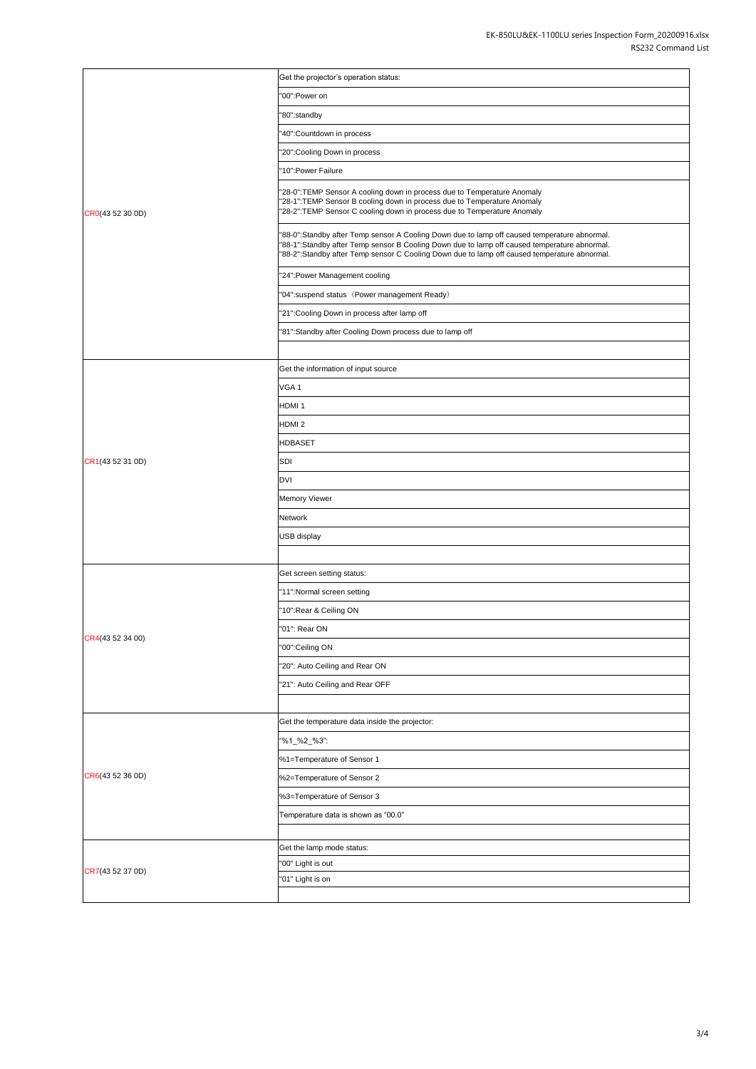|                  | Get the projector's operation status:                                                                                                                                                                                                                                                        |
|------------------|----------------------------------------------------------------------------------------------------------------------------------------------------------------------------------------------------------------------------------------------------------------------------------------------|
| CR0(43 52 30 0D) | "00":Power on                                                                                                                                                                                                                                                                                |
|                  | "80":standby                                                                                                                                                                                                                                                                                 |
|                  | "40":Countdown in process                                                                                                                                                                                                                                                                    |
|                  | "20":Cooling Down in process                                                                                                                                                                                                                                                                 |
|                  | "10": Power Failure                                                                                                                                                                                                                                                                          |
|                  | "28-0":TEMP Sensor A cooling down in process due to Temperature Anomaly<br>"28-1":TEMP Sensor B cooling down in process due to Temperature Anomaly<br>"28-2":TEMP Sensor C cooling down in process due to Temperature Anomaly                                                                |
|                  | "88-0":Standby after Temp sensor A Cooling Down due to lamp off caused temperature abnormal.<br>"88-1":Standby after Temp sensor B Cooling Down due to lamp off caused temperature abnormal.<br>"88-2":Standby after Temp sensor C Cooling Down due to lamp off caused temperature abnormal. |
|                  | "24": Power Management cooling                                                                                                                                                                                                                                                               |
|                  | "04":suspend status (Power management Ready)                                                                                                                                                                                                                                                 |
|                  | "21": Cooling Down in process after lamp off                                                                                                                                                                                                                                                 |
|                  | "81":Standby after Cooling Down process due to lamp off                                                                                                                                                                                                                                      |
|                  |                                                                                                                                                                                                                                                                                              |
|                  | Get the information of input source                                                                                                                                                                                                                                                          |
|                  | VGA <sub>1</sub>                                                                                                                                                                                                                                                                             |
|                  | HDMI <sub>1</sub>                                                                                                                                                                                                                                                                            |
|                  | HDMI <sub>2</sub>                                                                                                                                                                                                                                                                            |
|                  | <b>HDBASET</b>                                                                                                                                                                                                                                                                               |
| CR1(43 52 31 0D) | <b>SDI</b>                                                                                                                                                                                                                                                                                   |
|                  | <b>DVI</b>                                                                                                                                                                                                                                                                                   |
|                  | Memory Viewer                                                                                                                                                                                                                                                                                |
|                  | <b>Network</b>                                                                                                                                                                                                                                                                               |
|                  | USB display                                                                                                                                                                                                                                                                                  |
|                  |                                                                                                                                                                                                                                                                                              |
|                  | Get screen setting status:                                                                                                                                                                                                                                                                   |
|                  | "11":Normal screen setting                                                                                                                                                                                                                                                                   |
| CR4(43 52 34 00) | "10":Rear & Ceiling ON                                                                                                                                                                                                                                                                       |
|                  | "01": Rear ON                                                                                                                                                                                                                                                                                |
|                  | "00":Ceiling ON                                                                                                                                                                                                                                                                              |
|                  | "20": Auto Ceiling and Rear ON                                                                                                                                                                                                                                                               |
|                  | "21": Auto Ceiling and Rear OFF                                                                                                                                                                                                                                                              |
|                  |                                                                                                                                                                                                                                                                                              |
| CR6(43 52 36 0D) | Get the temperature data inside the projector:                                                                                                                                                                                                                                               |
|                  | "%1_%2_%3":                                                                                                                                                                                                                                                                                  |
|                  | %1=Temperature of Sensor 1                                                                                                                                                                                                                                                                   |
|                  | %2=Temperature of Sensor 2                                                                                                                                                                                                                                                                   |
|                  | %3=Temperature of Sensor 3                                                                                                                                                                                                                                                                   |
|                  | Temperature data is shown as "00.0"                                                                                                                                                                                                                                                          |
|                  |                                                                                                                                                                                                                                                                                              |
| CR7(43 52 37 0D) | Get the lamp mode status:                                                                                                                                                                                                                                                                    |
|                  | "00" Light is out                                                                                                                                                                                                                                                                            |
|                  | "01" Light is on                                                                                                                                                                                                                                                                             |